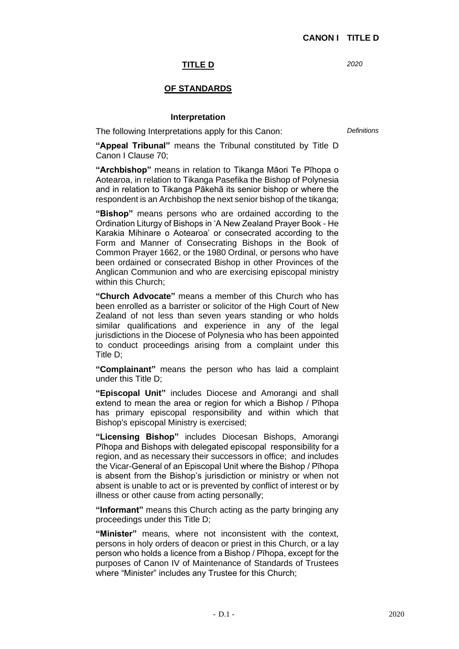*2020*

# **TITLE D**

## **OF STANDARDS**

#### **Interpretation**

The following Interpretations apply for this Canon:

*Definitions*

**"Appeal Tribunal"** means the Tribunal constituted by Title D Canon I Clause 70;

**"Archbishop"** means in relation to Tikanga Māori Te Pīhopa o Aotearoa, in relation to Tikanga Pasefika the Bishop of Polynesia and in relation to Tikanga Pākehā its senior bishop or where the respondent is an Archbishop the next senior bishop of the tikanga;

**"Bishop"** means persons who are ordained according to the Ordination Liturgy of Bishops in 'A New Zealand Prayer Book - He Karakia Mihinare o Aotearoa' or consecrated according to the Form and Manner of Consecrating Bishops in the Book of Common Prayer 1662, or the 1980 Ordinal, or persons who have been ordained or consecrated Bishop in other Provinces of the Anglican Communion and who are exercising episcopal ministry within this Church;

**"Church Advocate"** means a member of this Church who has been enrolled as a barrister or solicitor of the High Court of New Zealand of not less than seven years standing or who holds similar qualifications and experience in any of the legal jurisdictions in the Diocese of Polynesia who has been appointed to conduct proceedings arising from a complaint under this Title D;

**"Complainant"** means the person who has laid a complaint under this Title D;

**"Episcopal Unit"** includes Diocese and Amorangi and shall extend to mean the area or region for which a Bishop / Pīhopa has primary episcopal responsibility and within which that Bishop's episcopal Ministry is exercised;

**"Licensing Bishop"** includes Diocesan Bishops, Amorangi Pīhopa and Bishops with delegated episcopal responsibility for a region, and as necessary their successors in office; and includes the Vicar-General of an Episcopal Unit where the Bishop / Pīhopa is absent from the Bishop's jurisdiction or ministry or when not absent is unable to act or is prevented by conflict of interest or by illness or other cause from acting personally;

**"Informant"** means this Church acting as the party bringing any proceedings under this Title D;

**"Minister"** means, where not inconsistent with the context, persons in holy orders of deacon or priest in this Church, or a lay person who holds a licence from a Bishop / Pīhopa, except for the purposes of Canon IV of Maintenance of Standards of Trustees where "Minister" includes any Trustee for this Church;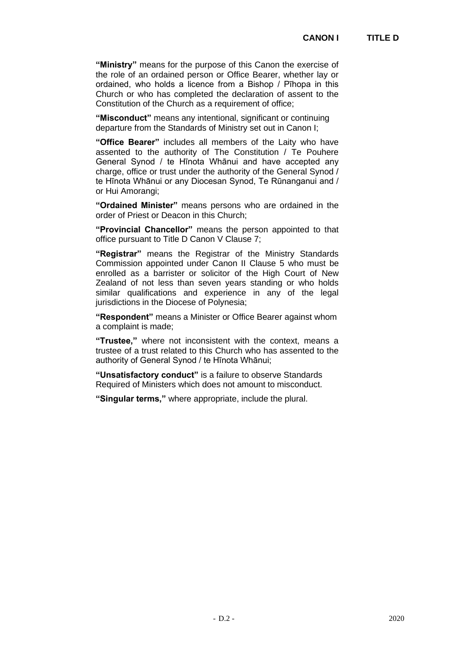**"Ministry"** means for the purpose of this Canon the exercise of the role of an ordained person or Office Bearer, whether lay or ordained, who holds a licence from a Bishop / Pīhopa in this Church or who has completed the declaration of assent to the Constitution of the Church as a requirement of office;

**"Misconduct"** means any intentional, significant or continuing departure from the Standards of Ministry set out in Canon I;

**"Office Bearer"** includes all members of the Laity who have assented to the authority of The Constitution / Te Pouhere General Synod / te Hīnota Whānui and have accepted any charge, office or trust under the authority of the General Synod / te Hīnota Whānui or any Diocesan Synod, Te Rūnanganui and / or Hui Amorangi;

**"Ordained Minister"** means persons who are ordained in the order of Priest or Deacon in this Church;

**"Provincial Chancellor"** means the person appointed to that office pursuant to Title D Canon V Clause 7;

**"Registrar"** means the Registrar of the Ministry Standards Commission appointed under Canon II Clause 5 who must be enrolled as a barrister or solicitor of the High Court of New Zealand of not less than seven years standing or who holds similar qualifications and experience in any of the legal jurisdictions in the Diocese of Polynesia;

**"Respondent"** means a Minister or Office Bearer against whom a complaint is made;

**"Trustee,"** where not inconsistent with the context, means a trustee of a trust related to this Church who has assented to the authority of General Synod / te Hīnota Whānui;

**"Unsatisfactory conduct"** is a failure to observe Standards Required of Ministers which does not amount to misconduct.

**"Singular terms,"** where appropriate, include the plural.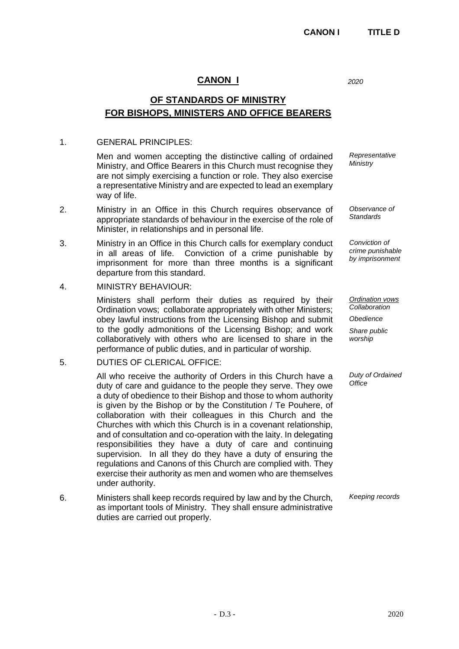## **CANON I**

**OF STANDARDS OF MINISTRY FOR BISHOPS, MINISTERS AND OFFICE BEARERS**

### 1. GENERAL PRINCIPLES:

Men and women accepting the distinctive calling of ordained Ministry, and Office Bearers in this Church must recognise they are not simply exercising a function or role. They also exercise a representative Ministry and are expected to lead an exemplary way of life.

- 2. Ministry in an Office in this Church requires observance of appropriate standards of behaviour in the exercise of the role of Minister, in relationships and in personal life.
- 3. Ministry in an Office in this Church calls for exemplary conduct in all areas of life. Conviction of a crime punishable by imprisonment for more than three months is a significant departure from this standard.
- 4. MINISTRY BEHAVIOUR:

Ministers shall perform their duties as required by their Ordination vows; collaborate appropriately with other Ministers; obey lawful instructions from the Licensing Bishop and submit to the godly admonitions of the Licensing Bishop; and work collaboratively with others who are licensed to share in the performance of public duties, and in particular of worship.

## 5. DUTIES OF CLERICAL OFFICE:

All who receive the authority of Orders in this Church have a duty of care and guidance to the people they serve. They owe a duty of obedience to their Bishop and those to whom authority is given by the Bishop or by the Constitution / Te Pouhere, of collaboration with their colleagues in this Church and the Churches with which this Church is in a covenant relationship, and of consultation and co-operation with the laity. In delegating responsibilities they have a duty of care and continuing supervision. In all they do they have a duty of ensuring the regulations and Canons of this Church are complied with. They exercise their authority as men and women who are themselves under authority.

6. Ministers shall keep records required by law and by the Church, as important tools of Ministry. They shall ensure administrative duties are carried out properly.

*2020*

*Representative Ministry*

*Observance of Standards*

*Conviction of crime punishable by imprisonment*

*Ordination vows Collaboration*

*Obedience*

*Share public worship*

*Duty of Ordained Office*

*Keeping records*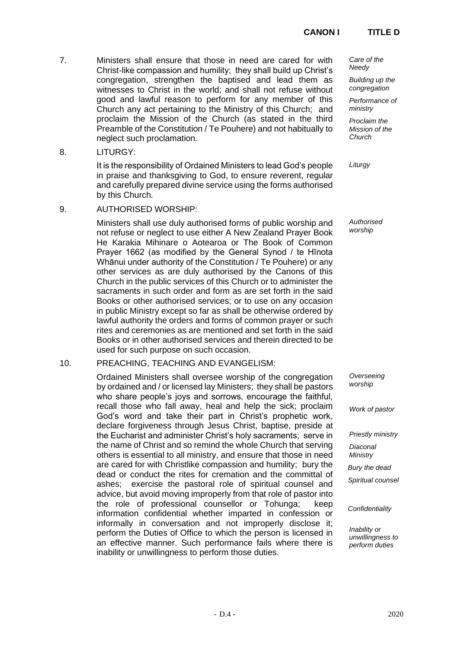## **CANON I TITLE D**

- 7. Ministers shall ensure that those in need are cared for with Christ-like compassion and humility; they shall build up Christ's congregation, strengthen the baptised and lead them as witnesses to Christ in the world; and shall not refuse without good and lawful reason to perform for any member of this Church any act pertaining to the Ministry of this Church; and proclaim the Mission of the Church (as stated in the third Preamble of the Constitution / Te Pouhere) and not habitually to neglect such proclamation.
- 8. LITURGY:

It is the responsibility of Ordained Ministers to lead God's people in praise and thanksgiving to God, to ensure reverent, regular and carefully prepared divine service using the forms authorised by this Church.

9. AUTHORISED WORSHIP:

Ministers shall use duly authorised forms of public worship and not refuse or neglect to use either A New Zealand Prayer Book He Karakia Mihinare o Aotearoa or The Book of Common Prayer 1662 (as modified by the General Synod / te Hīnota Whānui under authority of the Constitution / Te Pouhere) or any other services as are duly authorised by the Canons of this Church in the public services of this Church or to administer the sacraments in such order and form as are set forth in the said Books or other authorised services; or to use on any occasion in public Ministry except so far as shall be otherwise ordered by lawful authority the orders and forms of common prayer or such rites and ceremonies as are mentioned and set forth in the said Books or in other authorised services and therein directed to be used for such purpose on such occasion.

#### 10. PREACHING, TEACHING AND EVANGELISM:

Ordained Ministers shall oversee worship of the congregation by ordained and / or licensed lay Ministers; they shall be pastors who share people's joys and sorrows, encourage the faithful, recall those who fall away, heal and help the sick; proclaim God's word and take their part in Christ's prophetic work, declare forgiveness through Jesus Christ, baptise, preside at the Eucharist and administer Christ's holy sacraments; serve in the name of Christ and so remind the whole Church that serving others is essential to all ministry, and ensure that those in need are cared for with Christlike compassion and humility; bury the dead or conduct the rites for cremation and the committal of ashes; exercise the pastoral role of spiritual counsel and advice, but avoid moving improperly from that role of pastor into the role of professional counsellor or Tohunga; keep information confidential whether imparted in confession or informally in conversation and not improperly disclose it; perform the Duties of Office to which the person is licensed in an effective manner. Such performance fails where there is inability or unwillingness to perform those duties.

*Care of the Needy*

*Building up the congregation*

*Performance of ministry*

*Proclaim the Mission of the Church*

*Liturgy*

*Authorised worship*

*Overseeing worship*

*Work of pastor*

*Priestly ministry Diaconal Ministry*

*Bury the dead*

*Spiritual counsel*

*Confidentiality*

*Inability or unwillingness to perform duties*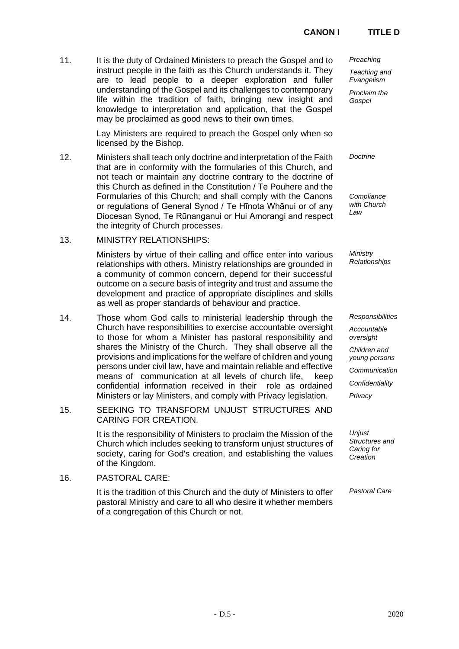# **CANON I TITLE D**

11. It is the duty of Ordained Ministers to preach the Gospel and to instruct people in the faith as this Church understands it. They are to lead people to a deeper exploration and fuller understanding of the Gospel and its challenges to contemporary life within the tradition of faith, bringing new insight and knowledge to interpretation and application, that the Gospel may be proclaimed as good news to their own times.

> Lay Ministers are required to preach the Gospel only when so licensed by the Bishop.

12. Ministers shall teach only doctrine and interpretation of the Faith that are in conformity with the formularies of this Church, and not teach or maintain any doctrine contrary to the doctrine of this Church as defined in the Constitution / Te Pouhere and the Formularies of this Church; and shall comply with the Canons or regulations of General Synod / Te Hīnota Whānui or of any Diocesan Synod, Te Rūnanganui or Hui Amorangi and respect the integrity of Church processes.

## 13. MINISTRY RELATIONSHIPS:

Ministers by virtue of their calling and office enter into various relationships with others. Ministry relationships are grounded in a community of common concern, depend for their successful outcome on a secure basis of integrity and trust and assume the development and practice of appropriate disciplines and skills as well as proper standards of behaviour and practice.

- 14. Those whom God calls to ministerial leadership through the Church have responsibilities to exercise accountable oversight to those for whom a Minister has pastoral responsibility and shares the Ministry of the Church. They shall observe all the provisions and implications for the welfare of children and young persons under civil law, have and maintain reliable and effective means of communication at all levels of church life, keep confidential information received in their role as ordained Ministers or lay Ministers, and comply with Privacy legislation.
- 15. SEEKING TO TRANSFORM UNJUST STRUCTURES AND CARING FOR CREATION.

It is the responsibility of Ministers to proclaim the Mission of the Church which includes seeking to transform unjust structures of society, caring for God's creation, and establishing the values of the Kingdom.

16. PASTORAL CARE:

It is the tradition of this Church and the duty of Ministers to offer pastoral Ministry and care to all who desire it whether members of a congregation of this Church or not.

*Preaching* 

*Teaching and Evangelism*

*Proclaim the Gospel*

*Doctrine*

*Compliance with Church Law*

*Ministry Relationships*

*Responsibilities*

*Accountable oversight*

*Children and young persons*

*Communication*

*Confidentiality*

*Privacy*

*Unjust Structures and Caring for Creation*

*Pastoral Care*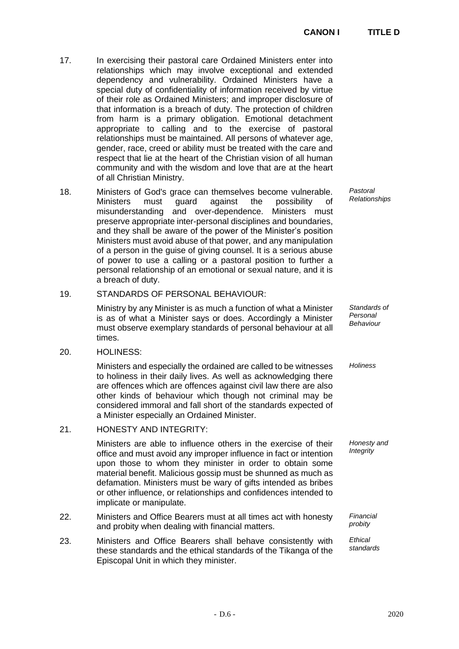- 17. In exercising their pastoral care Ordained Ministers enter into relationships which may involve exceptional and extended dependency and vulnerability. Ordained Ministers have a special duty of confidentiality of information received by virtue of their role as Ordained Ministers; and improper disclosure of that information is a breach of duty. The protection of children from harm is a primary obligation. Emotional detachment appropriate to calling and to the exercise of pastoral relationships must be maintained. All persons of whatever age, gender, race, creed or ability must be treated with the care and respect that lie at the heart of the Christian vision of all human community and with the wisdom and love that are at the heart of all Christian Ministry.
- 18. Ministers of God's grace can themselves become vulnerable. Ministers must guard against the possibility of misunderstanding and over-dependence. Ministers must preserve appropriate inter-personal disciplines and boundaries, and they shall be aware of the power of the Minister's position Ministers must avoid abuse of that power, and any manipulation of a person in the guise of giving counsel. It is a serious abuse of power to use a calling or a pastoral position to further a personal relationship of an emotional or sexual nature, and it is a breach of duty.

## 19. STANDARDS OF PERSONAL BEHAVIOUR:

Ministry by any Minister is as much a function of what a Minister is as of what a Minister says or does. Accordingly a Minister must observe exemplary standards of personal behaviour at all times.

#### 20. HOLINESS:

Ministers and especially the ordained are called to be witnesses to holiness in their daily lives. As well as acknowledging there are offences which are offences against civil law there are also other kinds of behaviour which though not criminal may be considered immoral and fall short of the standards expected of a Minister especially an Ordained Minister.

## 21. HONESTY AND INTEGRITY:

Ministers are able to influence others in the exercise of their office and must avoid any improper influence in fact or intention upon those to whom they minister in order to obtain some material benefit. Malicious gossip must be shunned as much as defamation. Ministers must be wary of gifts intended as bribes or other influence, or relationships and confidences intended to implicate or manipulate.

- 22. Ministers and Office Bearers must at all times act with honesty and probity when dealing with financial matters.
- 23. Ministers and Office Bearers shall behave consistently with these standards and the ethical standards of the Tikanga of the Episcopal Unit in which they minister.

*Pastoral Relationships*

*Standards of Personal Behaviour*

*Holiness*

*Honesty and Integrity*

*Financial probity* 

*Ethical standards*